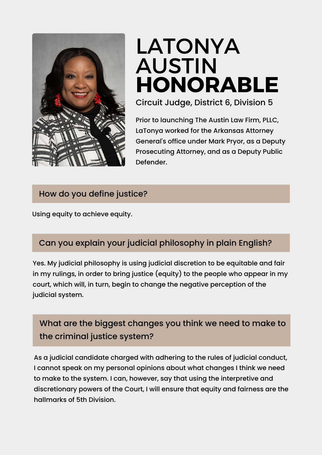

# LATONYA **HONORABLE** AUSTIN

Circuit Judge, District 6, Division 5

Prior to launching The Austin Law Firm, PLLC, LaTonya worked for the Arkansas Attorney General's office under Mark Pryor, as a Deputy Prosecuting Attorney, and as a Deputy Public Defender.

#### How do you define justice?

Using equity to achieve equity.

#### Can you explain your judicial philosophy in plain English?

Yes. My judicial philosophy is using judicial discretion to be equitable and fair in my rulings, in order to bring justice (equity) to the people who appear in my court, which will, in turn, begin to change the negative perception of the judicial system.

# What are the biggest changes you think we need to make to the criminal justice system?

As a judicial candidate charged with adhering to the rules of judicial conduct, I cannot speak on my personal opinions about what changes I think we need to make to the system. I can, however, say that using the interpretive and discretionary powers of the Court, I will ensure that equity and fairness are the hallmarks of 5th Division.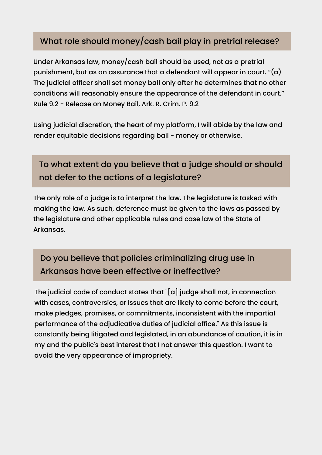#### What role should money/cash bail play in pretrial release?

Under Arkansas law, money/cash bail should be used, not as a pretrial punishment, but as an assurance that a defendant will appear in court.  $\ell(\alpha)$ The judicial officer shall set money bail only after he determines that no other conditions will reasonably ensure the appearance of the defendant in court." Rule 9.2 - Release on Money Bail, Ark. R. Crim. P. 9.2

Using judicial discretion, the heart of my platform, I will abide by the law and render equitable decisions regarding bail - money or otherwise.

## To what extent do you believe that a judge should or should not defer to the actions of a legislature?

The only role of a judge is to interpret the law. The legislature is tasked with making the law. As such, deference must be given to the laws as passed by the legislature and other applicable rules and case law of the State of Arkansas.

## Do you believe that policies criminalizing drug use in Arkansas have been effective or ineffective?

The judicial code of conduct states that "[a] judge shall not, in connection with cases, controversies, or issues that are likely to come before the court, make pledges, promises, or commitments, inconsistent with the impartial performance of the adjudicative duties of judicial office." As this issue is constantly being litigated and legislated, in an abundance of caution, it is in my and the public's best interest that I not answer this question. I want to avoid the very appearance of impropriety.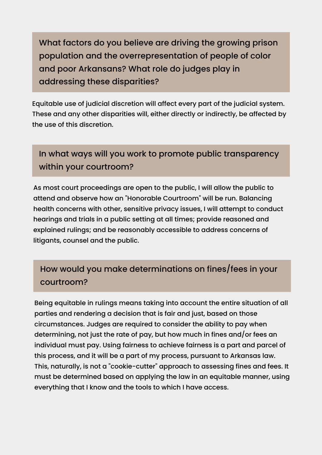What factors do you believe are driving the growing prison population and the overrepresentation of people of color and poor Arkansans? What role do judges play in addressing these disparities?

Equitable use of judicial discretion will affect every part of the judicial system. These and any other disparities will, either directly or indirectly, be affected by the use of this discretion.

## In what ways will you work to promote public transparency within your courtroom?

As most court proceedings are open to the public, I will allow the public to attend and observe how an "Honorable Courtroom" will be run. Balancing health concerns with other, sensitive privacy issues, I will attempt to conduct hearings and trials in a public setting at all times; provide reasoned and explained rulings; and be reasonably accessible to address concerns of litigants, counsel and the public.

# How would you make determinations on fines/fees in your courtroom?

Being equitable in rulings means taking into account the entire situation of all parties and rendering a decision that is fair and just, based on those circumstances. Judges are required to consider the ability to pay when determining, not just the rate of pay, but how much in fines and/or fees an individual must pay. Using fairness to achieve fairness is a part and parcel of this process, and it will be a part of my process, pursuant to Arkansas law. This, naturally, is not a "cookie-cutter" approach to assessing fines and fees. It must be determined based on applying the law in an equitable manner, using everything that I know and the tools to which I have access.